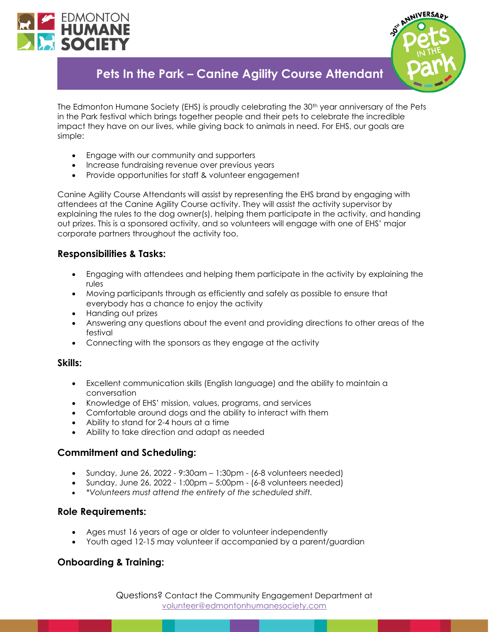



# **Pets In the Park – Canine Agility Course Attendant**

The Edmonton Humane Society (EHS) is proudly celebrating the 30<sup>th</sup> year anniversary of the Pets in the Park festival which brings together people and their pets to celebrate the incredible impact they have on our lives, while giving back to animals in need. For EHS, our goals are simple:

- Engage with our community and supporters
- Increase fundraising revenue over previous years
- Provide opportunities for staff & volunteer engagement

Canine Agility Course Attendants will assist by representing the EHS brand by engaging with attendees at the Canine Agility Course activity. They will assist the activity supervisor by explaining the rules to the dog owner(s), helping them participate in the activity, and handing out prizes. This is a sponsored activity, and so volunteers will engage with one of EHS' major corporate partners throughout the activity too.

# **Responsibilities & Tasks:**

- Engaging with attendees and helping them participate in the activity by explaining the rules
- Moving participants through as efficiently and safely as possible to ensure that everybody has a chance to enjoy the activity
- Handing out prizes
- Answering any questions about the event and providing directions to other areas of the festival
- Connecting with the sponsors as they engage at the activity

#### **Skills:**

- Excellent communication skills (English language) and the ability to maintain a conversation
- Knowledge of EHS' mission, values, programs, and services
- Comfortable around dogs and the ability to interact with them
- Ability to stand for 2-4 hours at a time
- Ability to take direction and adapt as needed

# **Commitment and Scheduling:**

- Sunday, June 26, 2022  $9:30$ am  $-1:30$ pm (6-8 volunteers needed)
- Sunday, June 26, 2022 1:00pm  $5:00$ pm  $(6-8$  volunteers needed)
- *\*Volunteers must attend the entirety of the scheduled shift.*

#### **Role Requirements:**

- Ages must 16 years of age or older to volunteer independently
- Youth aged 12-15 may volunteer if accompanied by a parent/guardian

# **Onboarding & Training:**

Questions? Contact the Community Engagement Department at [volunteer@edmontonhumanesociety.com](mailto:volunteer@edmontonhumanesociety.com)